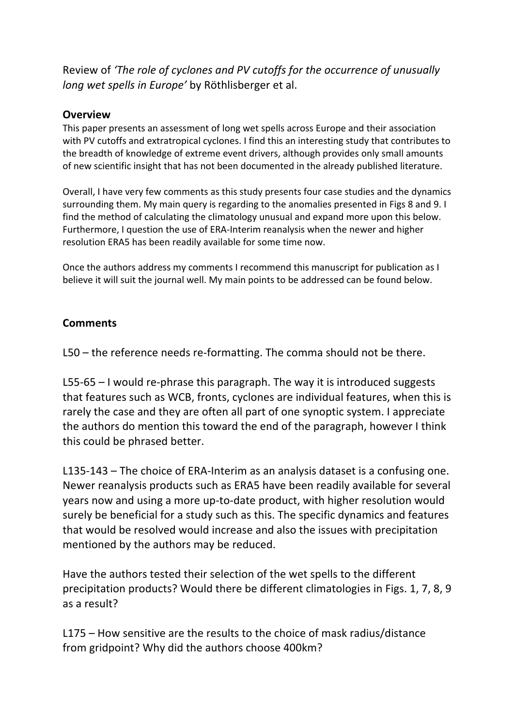Review of *'The role of cyclones and PV cutoffs for the occurrence of unusually long wet spells in Europe'* by Röthlisberger et al.

## **Overview**

This paper presents an assessment of long wet spells across Europe and their association with PV cutoffs and extratropical cyclones. I find this an interesting study that contributes to the breadth of knowledge of extreme event drivers, although provides only small amounts of new scientific insight that has not been documented in the already published literature.

Overall, I have very few comments as this study presents four case studies and the dynamics surrounding them. My main query is regarding to the anomalies presented in Figs 8 and 9. I find the method of calculating the climatology unusual and expand more upon this below. Furthermore, I question the use of ERA-Interim reanalysis when the newer and higher resolution ERA5 has been readily available for some time now.

Once the authors address my comments I recommend this manuscript for publication as I believe it will suit the journal well. My main points to be addressed can be found below.

## **Comments**

L50 – the reference needs re-formatting. The comma should not be there.

L55-65 – I would re-phrase this paragraph. The way it is introduced suggests that features such as WCB, fronts, cyclones are individual features, when this is rarely the case and they are often all part of one synoptic system. I appreciate the authors do mention this toward the end of the paragraph, however I think this could be phrased better.

L135-143 – The choice of ERA-Interim as an analysis dataset is a confusing one. Newer reanalysis products such as ERA5 have been readily available for several years now and using a more up-to-date product, with higher resolution would surely be beneficial for a study such as this. The specific dynamics and features that would be resolved would increase and also the issues with precipitation mentioned by the authors may be reduced.

Have the authors tested their selection of the wet spells to the different precipitation products? Would there be different climatologies in Figs. 1, 7, 8, 9 as a result?

L175 – How sensitive are the results to the choice of mask radius/distance from gridpoint? Why did the authors choose 400km?